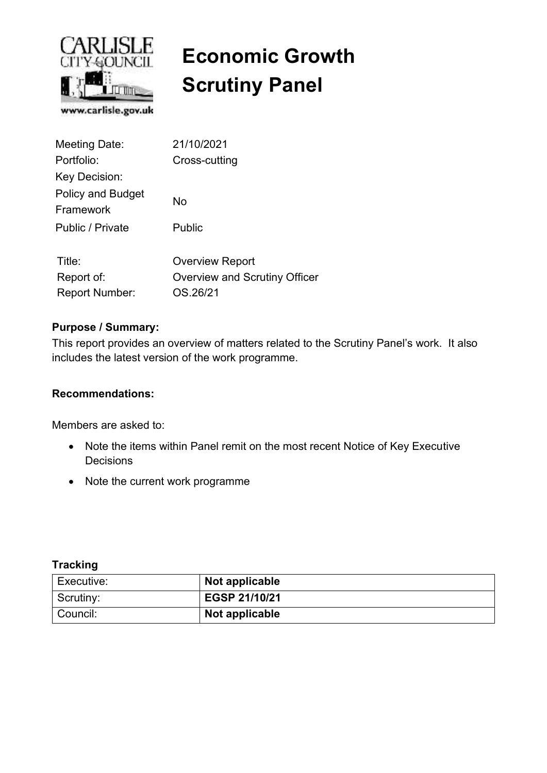

# **Economic Growth Scrutiny Panel**

| <b>Meeting Date:</b>                  | 21/10/2021                    |
|---------------------------------------|-------------------------------|
| Portfolio:                            | Cross-cutting                 |
| Key Decision:                         |                               |
| <b>Policy and Budget</b><br>Framework | No                            |
| Public / Private                      | Public                        |
| Title:                                | <b>Overview Report</b>        |
| Report of:                            | Overview and Scrutiny Officer |
| <b>Report Number:</b>                 | OS.26/21                      |

#### **Purpose / Summary:**

This report provides an overview of matters related to the Scrutiny Panel's work. It also includes the latest version of the work programme.

#### **Recommendations:**

Members are asked to:

- Note the items within Panel remit on the most recent Notice of Key Executive **Decisions**
- Note the current work programme

#### **Tracking**

| Executive: | Not applicable |
|------------|----------------|
| Scrutiny:  | EGSP 21/10/21  |
| Council:   | Not applicable |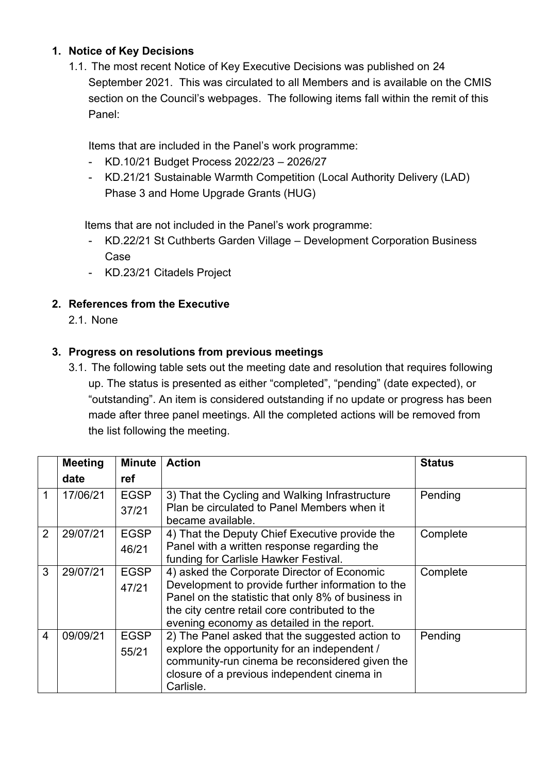# **1. Notice of Key Decisions**

1.1. The most recent Notice of Key Executive Decisions was published on 24 September 2021. This was circulated to all Members and is available on the CMIS section on the Council's webpages. The following items fall within the remit of this Panel:

Items that are included in the Panel's work programme:

- KD.10/21 Budget Process 2022/23 2026/27
- KD.21/21 Sustainable Warmth Competition (Local Authority Delivery (LAD) Phase 3 and Home Upgrade Grants (HUG)

Items that are not included in the Panel's work programme:

- KD.22/21 St Cuthberts Garden Village Development Corporation Business Case
- KD.23/21 Citadels Project

# **2. References from the Executive**

2.1. None

# **3. Progress on resolutions from previous meetings**

3.1. The following table sets out the meeting date and resolution that requires following up. The status is presented as either "completed", "pending" (date expected), or "outstanding". An item is considered outstanding if no update or progress has been made after three panel meetings. All the completed actions will be removed from the list following the meeting.

|                | <b>Meeting</b> | <b>Minute</b> | <b>Action</b>                                      | <b>Status</b> |
|----------------|----------------|---------------|----------------------------------------------------|---------------|
|                | date           | ref           |                                                    |               |
|                | 17/06/21       | <b>EGSP</b>   | 3) That the Cycling and Walking Infrastructure     | Pending       |
|                |                | 37/21         | Plan be circulated to Panel Members when it        |               |
|                |                |               | became available.                                  |               |
| $\overline{2}$ | 29/07/21       | <b>EGSP</b>   | 4) That the Deputy Chief Executive provide the     | Complete      |
|                |                | 46/21         | Panel with a written response regarding the        |               |
|                |                |               | funding for Carlisle Hawker Festival.              |               |
| 3              | 29/07/21       | <b>EGSP</b>   | 4) asked the Corporate Director of Economic        | Complete      |
|                |                | 47/21         | Development to provide further information to the  |               |
|                |                |               | Panel on the statistic that only 8% of business in |               |
|                |                |               | the city centre retail core contributed to the     |               |
|                |                |               | evening economy as detailed in the report.         |               |
| $\overline{4}$ | 09/09/21       | <b>EGSP</b>   | 2) The Panel asked that the suggested action to    | Pending       |
|                |                | 55/21         | explore the opportunity for an independent /       |               |
|                |                |               | community-run cinema be reconsidered given the     |               |
|                |                |               | closure of a previous independent cinema in        |               |
|                |                |               | Carlisle.                                          |               |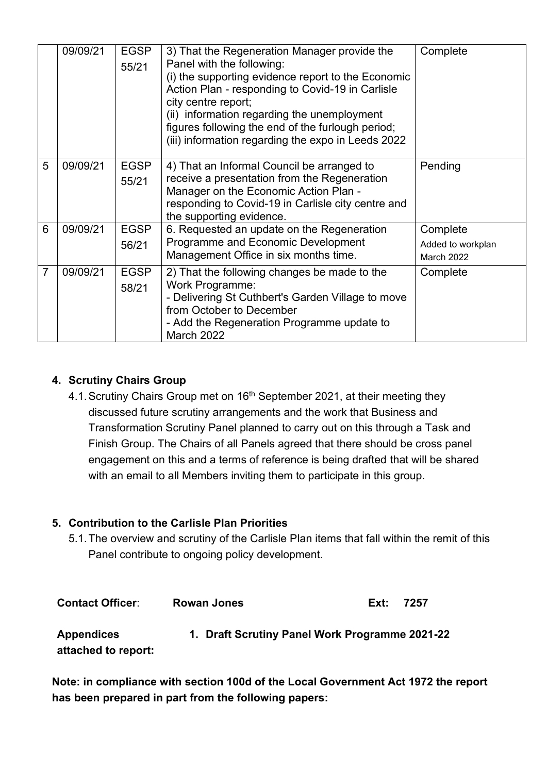|   | 09/09/21 | <b>EGSP</b><br>55/21 | 3) That the Regeneration Manager provide the<br>Panel with the following:<br>(i) the supporting evidence report to the Economic<br>Action Plan - responding to Covid-19 in Carlisle<br>city centre report;<br>(ii) information regarding the unemployment<br>figures following the end of the furlough period;<br>(iii) information regarding the expo in Leeds 2022 | Complete                                           |
|---|----------|----------------------|----------------------------------------------------------------------------------------------------------------------------------------------------------------------------------------------------------------------------------------------------------------------------------------------------------------------------------------------------------------------|----------------------------------------------------|
| 5 | 09/09/21 | <b>EGSP</b><br>55/21 | 4) That an Informal Council be arranged to<br>receive a presentation from the Regeneration<br>Manager on the Economic Action Plan -<br>responding to Covid-19 in Carlisle city centre and<br>the supporting evidence.                                                                                                                                                | Pending                                            |
| 6 | 09/09/21 | <b>EGSP</b><br>56/21 | 6. Requested an update on the Regeneration<br>Programme and Economic Development<br>Management Office in six months time.                                                                                                                                                                                                                                            | Complete<br>Added to workplan<br><b>March 2022</b> |
| 7 | 09/09/21 | <b>EGSP</b><br>58/21 | 2) That the following changes be made to the<br><b>Work Programme:</b><br>- Delivering St Cuthbert's Garden Village to move<br>from October to December<br>- Add the Regeneration Programme update to<br><b>March 2022</b>                                                                                                                                           | Complete                                           |

# **4. Scrutiny Chairs Group**

4.1. Scrutiny Chairs Group met on 16<sup>th</sup> September 2021, at their meeting they discussed future scrutiny arrangements and the work that Business and Transformation Scrutiny Panel planned to carry out on this through a Task and Finish Group. The Chairs of all Panels agreed that there should be cross panel engagement on this and a terms of reference is being drafted that will be shared with an email to all Members inviting them to participate in this group.

#### **5. Contribution to the Carlisle Plan Priorities**

5.1. The overview and scrutiny of the Carlisle Plan items that fall within the remit of this Panel contribute to ongoing policy development.

| <b>Rowan Jones</b> | Ext: | 7257                                           |
|--------------------|------|------------------------------------------------|
|                    |      |                                                |
|                    |      | 1. Draft Scrutiny Panel Work Programme 2021-22 |

**Note: in compliance with section 100d of the Local Government Act 1972 the report has been prepared in part from the following papers:**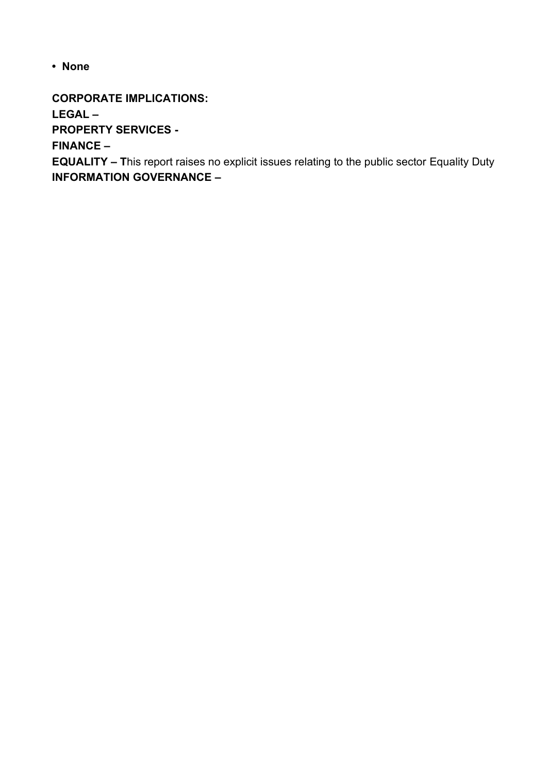**• None**

**CORPORATE IMPLICATIONS:** 

**LEGAL –** 

**PROPERTY SERVICES -** 

**FINANCE –** 

**EQUALITY – T**his report raises no explicit issues relating to the public sector Equality Duty **INFORMATION GOVERNANCE –**